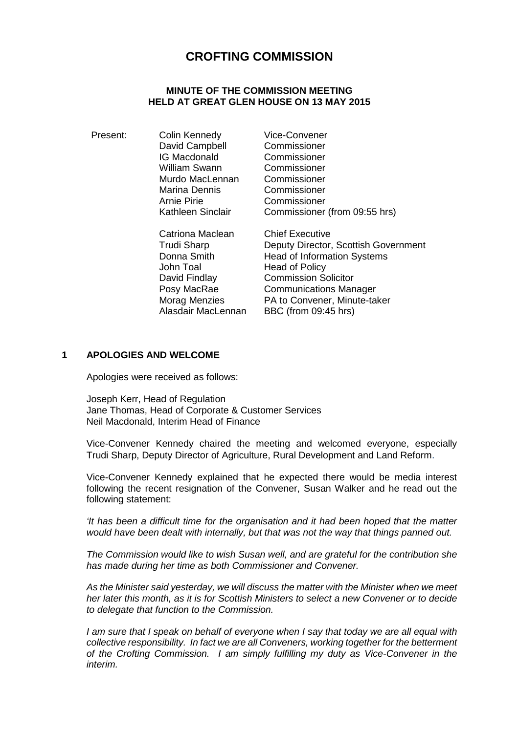# **CROFTING COMMISSION**

#### **MINUTE OF THE COMMISSION MEETING HELD AT GREAT GLEN HOUSE ON 13 MAY 2015**

| Present: | Colin Kennedy        | Vice-Convener                        |
|----------|----------------------|--------------------------------------|
|          | David Campbell       | Commissioner                         |
|          | <b>IG Macdonald</b>  | Commissioner                         |
|          | <b>William Swann</b> | Commissioner                         |
|          | Murdo MacLennan      | Commissioner                         |
|          | Marina Dennis        | Commissioner                         |
|          | <b>Arnie Pirie</b>   | Commissioner                         |
|          | Kathleen Sinclair    | Commissioner (from 09:55 hrs)        |
|          | Catriona Maclean     | <b>Chief Executive</b>               |
|          | <b>Trudi Sharp</b>   | Deputy Director, Scottish Government |
|          | Donna Smith          | <b>Head of Information Systems</b>   |
|          | John Toal            | <b>Head of Policy</b>                |
|          | David Findlay        | <b>Commission Solicitor</b>          |
|          | Posy MacRae          | <b>Communications Manager</b>        |
|          | <b>Morag Menzies</b> | PA to Convener, Minute-taker         |
|          | Alasdair MacLennan   | BBC (from 09:45 hrs)                 |

#### **1 APOLOGIES AND WELCOME**

Apologies were received as follows:

Joseph Kerr, Head of Regulation Jane Thomas, Head of Corporate & Customer Services Neil Macdonald, Interim Head of Finance

Vice-Convener Kennedy chaired the meeting and welcomed everyone, especially Trudi Sharp, Deputy Director of Agriculture, Rural Development and Land Reform.

Vice-Convener Kennedy explained that he expected there would be media interest following the recent resignation of the Convener, Susan Walker and he read out the following statement:

*'It has been a difficult time for the organisation and it had been hoped that the matter would have been dealt with internally, but that was not the way that things panned out.*

*The Commission would like to wish Susan well, and are grateful for the contribution she has made during her time as both Commissioner and Convener.* 

*As the Minister said yesterday, we will discuss the matter with the Minister when we meet her later this month, as it is for Scottish Ministers to select a new Convener or to decide to delegate that function to the Commission.*

*I am sure that I speak on behalf of everyone when I say that today we are all equal with collective responsibility. In fact we are all Conveners, working together for the betterment of the Crofting Commission. I am simply fulfilling my duty as Vice-Convener in the interim.*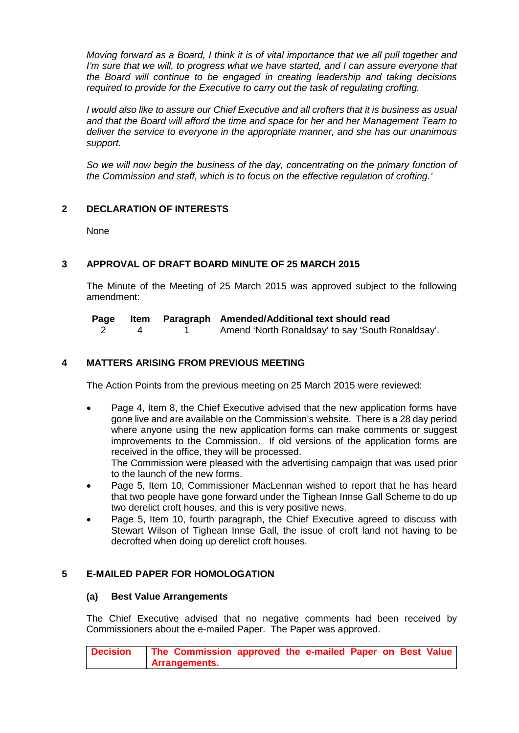*Moving forward as a Board, I think it is of vital importance that we all pull together and I'm sure that we will, to progress what we have started, and I can assure everyone that the Board will continue to be engaged in creating leadership and taking decisions required to provide for the Executive to carry out the task of regulating crofting.*

*I would also like to assure our Chief Executive and all crofters that it is business as usual and that the Board will afford the time and space for her and her Management Team to deliver the service to everyone in the appropriate manner, and she has our unanimous support.*

*So we will now begin the business of the day, concentrating on the primary function of the Commission and staff, which is to focus on the effective regulation of crofting.'*

# **2 DECLARATION OF INTERESTS**

**None** 

# **3 APPROVAL OF DRAFT BOARD MINUTE OF 25 MARCH 2015**

The Minute of the Meeting of 25 March 2015 was approved subject to the following amendment:

|  | Page Item Paragraph Amended/Additional text should read         |
|--|-----------------------------------------------------------------|
|  | والرامون وللمستقال يمورون بالمواطن والمستقال المستقالة المستورة |

2 4 1 Amend 'North Ronaldsay' to say 'South Ronaldsay'.

# **4 MATTERS ARISING FROM PREVIOUS MEETING**

The Action Points from the previous meeting on 25 March 2015 were reviewed:

- Page 4, Item 8, the Chief Executive advised that the new application forms have gone live and are available on the Commission's website. There is a 28 day period where anyone using the new application forms can make comments or suggest improvements to the Commission. If old versions of the application forms are received in the office, they will be processed. The Commission were pleased with the advertising campaign that was used prior
- to the launch of the new forms. • Page 5, Item 10, Commissioner MacLennan wished to report that he has heard that two people have gone forward under the Tighean Innse Gall Scheme to do up
- two derelict croft houses, and this is very positive news. • Page 5, Item 10, fourth paragraph, the Chief Executive agreed to discuss with Stewart Wilson of Tighean Innse Gall, the issue of croft land not having to be decrofted when doing up derelict croft houses.

# **5 E-MAILED PAPER FOR HOMOLOGATION**

# **(a) Best Value Arrangements**

The Chief Executive advised that no negative comments had been received by Commissioners about the e-mailed Paper. The Paper was approved.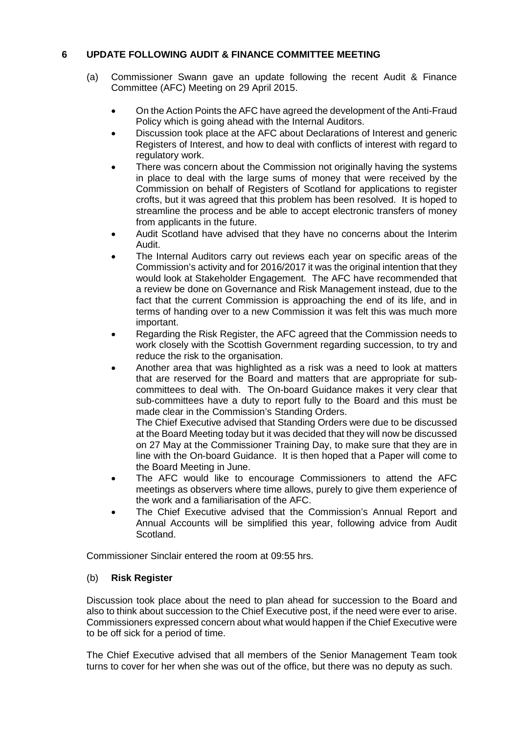# **6 UPDATE FOLLOWING AUDIT & FINANCE COMMITTEE MEETING**

- (a) Commissioner Swann gave an update following the recent Audit & Finance Committee (AFC) Meeting on 29 April 2015.
	- On the Action Points the AFC have agreed the development of the Anti-Fraud Policy which is going ahead with the Internal Auditors.
	- Discussion took place at the AFC about Declarations of Interest and generic Registers of Interest, and how to deal with conflicts of interest with regard to regulatory work.
	- There was concern about the Commission not originally having the systems in place to deal with the large sums of money that were received by the Commission on behalf of Registers of Scotland for applications to register crofts, but it was agreed that this problem has been resolved. It is hoped to streamline the process and be able to accept electronic transfers of money from applicants in the future.
	- Audit Scotland have advised that they have no concerns about the Interim Audit.
	- The Internal Auditors carry out reviews each year on specific areas of the Commission's activity and for 2016/2017 it was the original intention that they would look at Stakeholder Engagement. The AFC have recommended that a review be done on Governance and Risk Management instead, due to the fact that the current Commission is approaching the end of its life, and in terms of handing over to a new Commission it was felt this was much more important.
	- Regarding the Risk Register, the AFC agreed that the Commission needs to work closely with the Scottish Government regarding succession, to try and reduce the risk to the organisation.
	- Another area that was highlighted as a risk was a need to look at matters that are reserved for the Board and matters that are appropriate for subcommittees to deal with. The On-board Guidance makes it very clear that sub-committees have a duty to report fully to the Board and this must be made clear in the Commission's Standing Orders.

The Chief Executive advised that Standing Orders were due to be discussed at the Board Meeting today but it was decided that they will now be discussed on 27 May at the Commissioner Training Day, to make sure that they are in line with the On-board Guidance. It is then hoped that a Paper will come to the Board Meeting in June.

- The AFC would like to encourage Commissioners to attend the AFC meetings as observers where time allows, purely to give them experience of the work and a familiarisation of the AFC.
- The Chief Executive advised that the Commission's Annual Report and Annual Accounts will be simplified this year, following advice from Audit Scotland.

Commissioner Sinclair entered the room at 09:55 hrs.

## (b) **Risk Register**

Discussion took place about the need to plan ahead for succession to the Board and also to think about succession to the Chief Executive post, if the need were ever to arise. Commissioners expressed concern about what would happen if the Chief Executive were to be off sick for a period of time.

The Chief Executive advised that all members of the Senior Management Team took turns to cover for her when she was out of the office, but there was no deputy as such.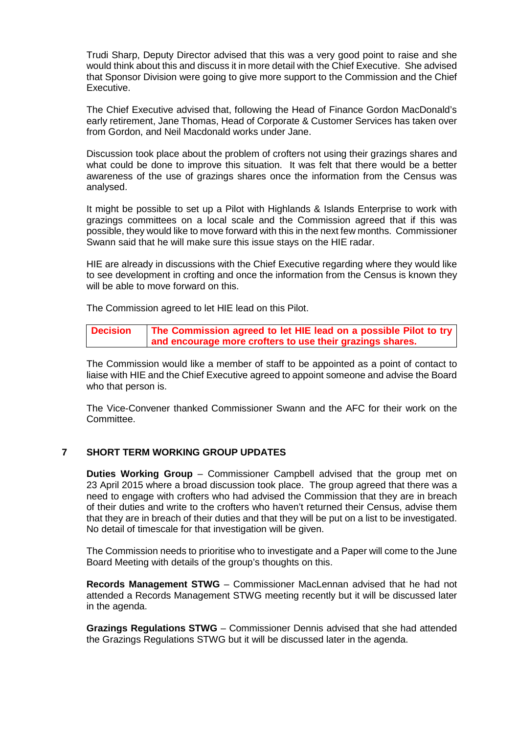Trudi Sharp, Deputy Director advised that this was a very good point to raise and she would think about this and discuss it in more detail with the Chief Executive. She advised that Sponsor Division were going to give more support to the Commission and the Chief Executive.

The Chief Executive advised that, following the Head of Finance Gordon MacDonald's early retirement, Jane Thomas, Head of Corporate & Customer Services has taken over from Gordon, and Neil Macdonald works under Jane.

Discussion took place about the problem of crofters not using their grazings shares and what could be done to improve this situation. It was felt that there would be a better awareness of the use of grazings shares once the information from the Census was analysed.

It might be possible to set up a Pilot with Highlands & Islands Enterprise to work with grazings committees on a local scale and the Commission agreed that if this was possible, they would like to move forward with this in the next few months. Commissioner Swann said that he will make sure this issue stays on the HIE radar.

HIE are already in discussions with the Chief Executive regarding where they would like to see development in crofting and once the information from the Census is known they will be able to move forward on this.

The Commission agreed to let HIE lead on this Pilot.

**Decision The Commission agreed to let HIE lead on a possible Pilot to try and encourage more crofters to use their grazings shares.**

The Commission would like a member of staff to be appointed as a point of contact to liaise with HIE and the Chief Executive agreed to appoint someone and advise the Board who that person is.

The Vice-Convener thanked Commissioner Swann and the AFC for their work on the Committee.

## **7 SHORT TERM WORKING GROUP UPDATES**

**Duties Working Group** – Commissioner Campbell advised that the group met on 23 April 2015 where a broad discussion took place. The group agreed that there was a need to engage with crofters who had advised the Commission that they are in breach of their duties and write to the crofters who haven't returned their Census, advise them that they are in breach of their duties and that they will be put on a list to be investigated. No detail of timescale for that investigation will be given.

The Commission needs to prioritise who to investigate and a Paper will come to the June Board Meeting with details of the group's thoughts on this.

**Records Management STWG** – Commissioner MacLennan advised that he had not attended a Records Management STWG meeting recently but it will be discussed later in the agenda.

**Grazings Regulations STWG** – Commissioner Dennis advised that she had attended the Grazings Regulations STWG but it will be discussed later in the agenda.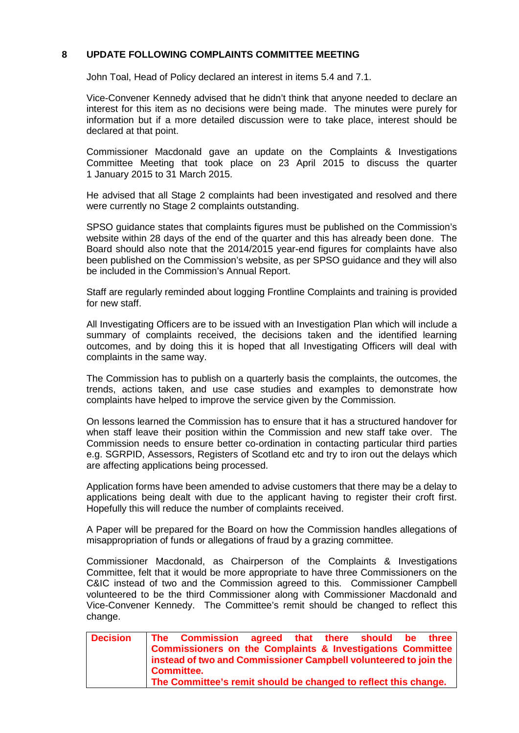# **8 UPDATE FOLLOWING COMPLAINTS COMMITTEE MEETING**

John Toal, Head of Policy declared an interest in items 5.4 and 7.1.

Vice-Convener Kennedy advised that he didn't think that anyone needed to declare an interest for this item as no decisions were being made. The minutes were purely for information but if a more detailed discussion were to take place, interest should be declared at that point.

Commissioner Macdonald gave an update on the Complaints & Investigations Committee Meeting that took place on 23 April 2015 to discuss the quarter 1 January 2015 to 31 March 2015.

He advised that all Stage 2 complaints had been investigated and resolved and there were currently no Stage 2 complaints outstanding.

SPSO guidance states that complaints figures must be published on the Commission's website within 28 days of the end of the quarter and this has already been done. The Board should also note that the 2014/2015 year-end figures for complaints have also been published on the Commission's website, as per SPSO guidance and they will also be included in the Commission's Annual Report.

Staff are regularly reminded about logging Frontline Complaints and training is provided for new staff.

All Investigating Officers are to be issued with an Investigation Plan which will include a summary of complaints received, the decisions taken and the identified learning outcomes, and by doing this it is hoped that all Investigating Officers will deal with complaints in the same way.

The Commission has to publish on a quarterly basis the complaints, the outcomes, the trends, actions taken, and use case studies and examples to demonstrate how complaints have helped to improve the service given by the Commission.

On lessons learned the Commission has to ensure that it has a structured handover for when staff leave their position within the Commission and new staff take over. The Commission needs to ensure better co-ordination in contacting particular third parties e.g. SGRPID, Assessors, Registers of Scotland etc and try to iron out the delays which are affecting applications being processed.

Application forms have been amended to advise customers that there may be a delay to applications being dealt with due to the applicant having to register their croft first. Hopefully this will reduce the number of complaints received.

A Paper will be prepared for the Board on how the Commission handles allegations of misappropriation of funds or allegations of fraud by a grazing committee.

Commissioner Macdonald, as Chairperson of the Complaints & Investigations Committee, felt that it would be more appropriate to have three Commissioners on the C&IC instead of two and the Commission agreed to this. Commissioner Campbell volunteered to be the third Commissioner along with Commissioner Macdonald and Vice-Convener Kennedy. The Committee's remit should be changed to reflect this change.

| <b>Decision</b> | The Commission agreed that there should be three                 |  |  |  |
|-----------------|------------------------------------------------------------------|--|--|--|
|                 | Commissioners on the Complaints & Investigations Committee       |  |  |  |
|                 | instead of two and Commissioner Campbell volunteered to join the |  |  |  |
|                 | <b>Committee.</b>                                                |  |  |  |
|                 | The Committee's remit should be changed to reflect this change.  |  |  |  |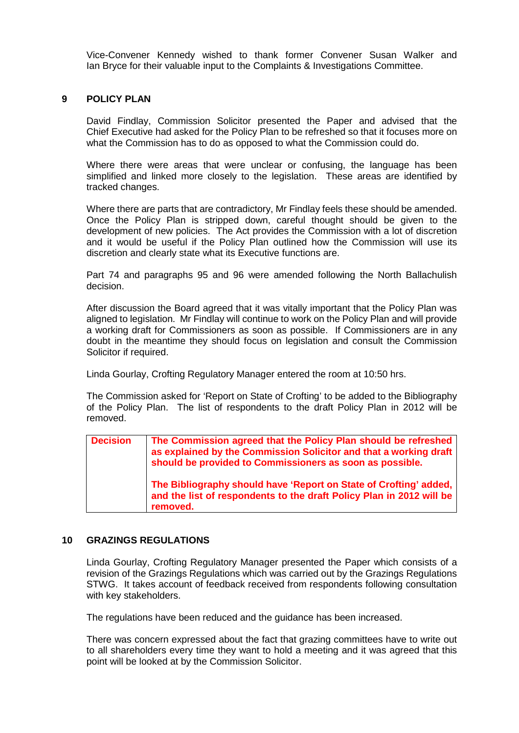Vice-Convener Kennedy wished to thank former Convener Susan Walker and Ian Bryce for their valuable input to the Complaints & Investigations Committee.

#### **9 POLICY PLAN**

David Findlay, Commission Solicitor presented the Paper and advised that the Chief Executive had asked for the Policy Plan to be refreshed so that it focuses more on what the Commission has to do as opposed to what the Commission could do.

Where there were areas that were unclear or confusing, the language has been simplified and linked more closely to the legislation. These areas are identified by tracked changes.

Where there are parts that are contradictory, Mr Findlay feels these should be amended. Once the Policy Plan is stripped down, careful thought should be given to the development of new policies. The Act provides the Commission with a lot of discretion and it would be useful if the Policy Plan outlined how the Commission will use its discretion and clearly state what its Executive functions are.

Part 74 and paragraphs 95 and 96 were amended following the North Ballachulish decision.

After discussion the Board agreed that it was vitally important that the Policy Plan was aligned to legislation. Mr Findlay will continue to work on the Policy Plan and will provide a working draft for Commissioners as soon as possible. If Commissioners are in any doubt in the meantime they should focus on legislation and consult the Commission Solicitor if required.

Linda Gourlay, Crofting Regulatory Manager entered the room at 10:50 hrs.

The Commission asked for 'Report on State of Crofting' to be added to the Bibliography of the Policy Plan. The list of respondents to the draft Policy Plan in 2012 will be removed.

| <b>Decision</b> | The Commission agreed that the Policy Plan should be refreshed<br>as explained by the Commission Solicitor and that a working draft<br>should be provided to Commissioners as soon as possible. |
|-----------------|-------------------------------------------------------------------------------------------------------------------------------------------------------------------------------------------------|
|                 | The Bibliography should have 'Report on State of Crofting' added,<br>and the list of respondents to the draft Policy Plan in 2012 will be<br>removed.                                           |

#### **10 GRAZINGS REGULATIONS**

Linda Gourlay, Crofting Regulatory Manager presented the Paper which consists of a revision of the Grazings Regulations which was carried out by the Grazings Regulations STWG. It takes account of feedback received from respondents following consultation with key stakeholders.

The regulations have been reduced and the guidance has been increased.

There was concern expressed about the fact that grazing committees have to write out to all shareholders every time they want to hold a meeting and it was agreed that this point will be looked at by the Commission Solicitor.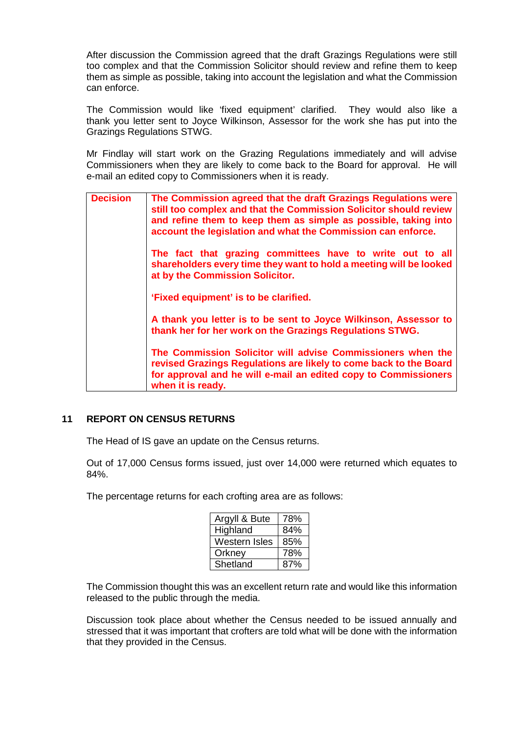After discussion the Commission agreed that the draft Grazings Regulations were still too complex and that the Commission Solicitor should review and refine them to keep them as simple as possible, taking into account the legislation and what the Commission can enforce.

The Commission would like 'fixed equipment' clarified. They would also like a thank you letter sent to Joyce Wilkinson, Assessor for the work she has put into the Grazings Regulations STWG.

Mr Findlay will start work on the Grazing Regulations immediately and will advise Commissioners when they are likely to come back to the Board for approval. He will e-mail an edited copy to Commissioners when it is ready.

| <b>Decision</b> | The Commission agreed that the draft Grazings Regulations were<br>still too complex and that the Commission Solicitor should review<br>and refine them to keep them as simple as possible, taking into<br>account the legislation and what the Commission can enforce. |
|-----------------|------------------------------------------------------------------------------------------------------------------------------------------------------------------------------------------------------------------------------------------------------------------------|
|                 | The fact that grazing committees have to write out to all<br>shareholders every time they want to hold a meeting will be looked<br>at by the Commission Solicitor.                                                                                                     |
|                 | 'Fixed equipment' is to be clarified.                                                                                                                                                                                                                                  |
|                 | A thank you letter is to be sent to Joyce Wilkinson, Assessor to<br>thank her for her work on the Grazings Regulations STWG.                                                                                                                                           |
|                 | The Commission Solicitor will advise Commissioners when the<br>revised Grazings Regulations are likely to come back to the Board<br>for approval and he will e-mail an edited copy to Commissioners<br>when it is ready.                                               |

## **11 REPORT ON CENSUS RETURNS**

The Head of IS gave an update on the Census returns.

Out of 17,000 Census forms issued, just over 14,000 were returned which equates to 84%.

The percentage returns for each crofting area are as follows:

| Argyll & Bute | 78% |
|---------------|-----|
| Highland      | 84% |
| Western Isles | 85% |
| Orkney        | 78% |
| Shetland      | 87% |

The Commission thought this was an excellent return rate and would like this information released to the public through the media.

Discussion took place about whether the Census needed to be issued annually and stressed that it was important that crofters are told what will be done with the information that they provided in the Census.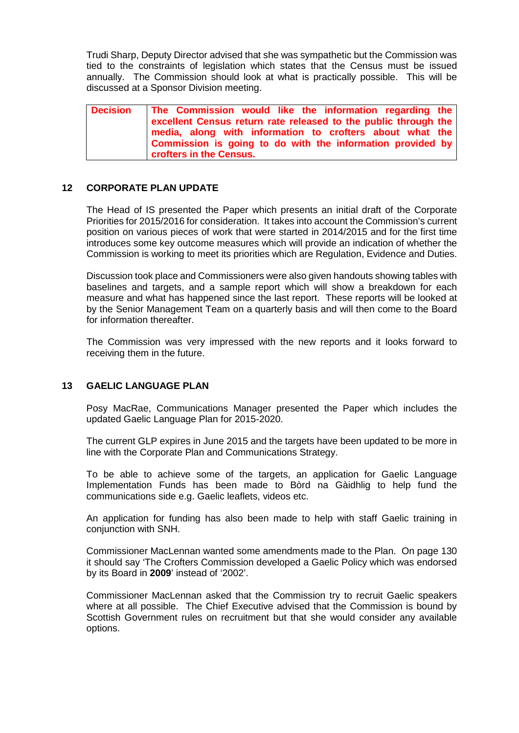Trudi Sharp, Deputy Director advised that she was sympathetic but the Commission was tied to the constraints of legislation which states that the Census must be issued annually. The Commission should look at what is practically possible. This will be discussed at a Sponsor Division meeting.

| <b>Decision</b> | The Commission would like the information regarding the<br>excellent Census return rate released to the public through the<br>media, along with information to crofters about what the |
|-----------------|----------------------------------------------------------------------------------------------------------------------------------------------------------------------------------------|
|                 | Commission is going to do with the information provided by<br>crofters in the Census.                                                                                                  |

## **12 CORPORATE PLAN UPDATE**

The Head of IS presented the Paper which presents an initial draft of the Corporate Priorities for 2015/2016 for consideration. It takes into account the Commission's current position on various pieces of work that were started in 2014/2015 and for the first time introduces some key outcome measures which will provide an indication of whether the Commission is working to meet its priorities which are Regulation, Evidence and Duties.

Discussion took place and Commissioners were also given handouts showing tables with baselines and targets, and a sample report which will show a breakdown for each measure and what has happened since the last report. These reports will be looked at by the Senior Management Team on a quarterly basis and will then come to the Board for information thereafter.

The Commission was very impressed with the new reports and it looks forward to receiving them in the future.

# **13 GAELIC LANGUAGE PLAN**

Posy MacRae, Communications Manager presented the Paper which includes the updated Gaelic Language Plan for 2015-2020.

The current GLP expires in June 2015 and the targets have been updated to be more in line with the Corporate Plan and Communications Strategy.

To be able to achieve some of the targets, an application for Gaelic Language Implementation Funds has been made to Bòrd na Gàidhlig to help fund the communications side e.g. Gaelic leaflets, videos etc.

An application for funding has also been made to help with staff Gaelic training in conjunction with SNH.

Commissioner MacLennan wanted some amendments made to the Plan. On page 130 it should say 'The Crofters Commission developed a Gaelic Policy which was endorsed by its Board in **2009**' instead of '2002'.

Commissioner MacLennan asked that the Commission try to recruit Gaelic speakers where at all possible. The Chief Executive advised that the Commission is bound by Scottish Government rules on recruitment but that she would consider any available options.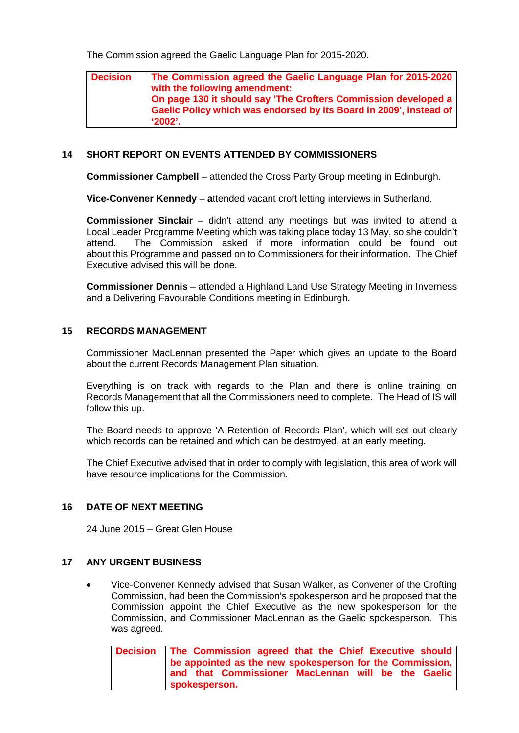The Commission agreed the Gaelic Language Plan for 2015-2020.

**Decision The Commission agreed the Gaelic Language Plan for 2015-2020 with the following amendment: On page 130 it should say 'The Crofters Commission developed a Gaelic Policy which was endorsed by its Board in 2009', instead of '2002'.**

## **14 SHORT REPORT ON EVENTS ATTENDED BY COMMISSIONERS**

**Commissioner Campbell** – attended the Cross Party Group meeting in Edinburgh.

**Vice-Convener Kennedy** – attended vacant croft letting interviews in Sutherland.

**Commissioner Sinclair** – didn't attend any meetings but was invited to attend a Local Leader Programme Meeting which was taking place today 13 May, so she couldn't The Commission asked if more information could be found out about this Programme and passed on to Commissioners for their information. The Chief Executive advised this will be done.

**Commissioner Dennis** – attended a Highland Land Use Strategy Meeting in Inverness and a Delivering Favourable Conditions meeting in Edinburgh.

## **15 RECORDS MANAGEMENT**

Commissioner MacLennan presented the Paper which gives an update to the Board about the current Records Management Plan situation.

Everything is on track with regards to the Plan and there is online training on Records Management that all the Commissioners need to complete. The Head of IS will follow this up.

The Board needs to approve 'A Retention of Records Plan', which will set out clearly which records can be retained and which can be destroyed, at an early meeting.

The Chief Executive advised that in order to comply with legislation, this area of work will have resource implications for the Commission.

## **16 DATE OF NEXT MEETING**

24 June 2015 – Great Glen House

## **17 ANY URGENT BUSINESS**

• Vice-Convener Kennedy advised that Susan Walker, as Convener of the Crofting Commission, had been the Commission's spokesperson and he proposed that the Commission appoint the Chief Executive as the new spokesperson for the Commission, and Commissioner MacLennan as the Gaelic spokesperson. This was agreed.

**Decision The Commission agreed that the Chief Executive should be appointed as the new spokesperson for the Commission, and that Commissioner MacLennan will be the Gaelic spokesperson.**